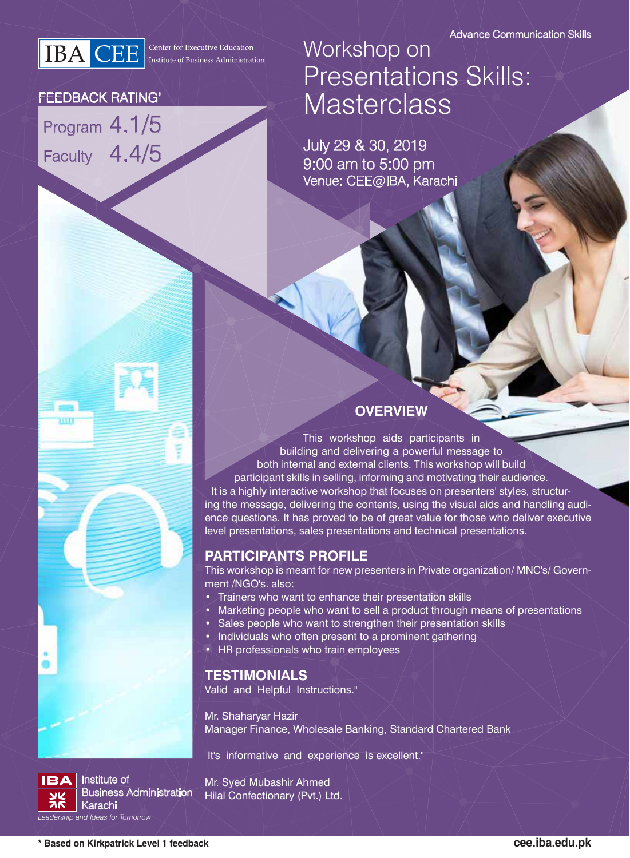**IBA** CEE **Executive Education** 

#### FEEDBACK RATING'

Program 4.1/5 Faculty 4.4/5

## Workshop on Presentations Skills: **Masterclass**

July 29 & 30, 2019 9:00 am to 5:00 pm Venue: CEE@IBA, Karachi

#### **OVERVIEW**

This workshop aids participants in building and delivering a powerful message to both internal and external clients. This workshop will build participant skills in selling, informing and motivating their audience. It is a highly interactive workshop that focuses on presenters' styles, structuring the message, delivering the contents, using the visual aids and handling audience questions. It has proved to be of great value for those who deliver executive level presentations, sales presentations and technical presentations.

#### **PARTICIPANTS PROFILE**

This workshop is meant for new presenters in Private organization/ MNC's/ Government /NGO's. also:

- Trainers who want to enhance their presentation skills
- Marketing people who want to sell a product through means of presentations
- Sales people who want to strengthen their presentation skills
- Individuals who often present to a prominent gathering
- HR professionals who train employees

#### **TESTIMONIALS**

Valid and Helpful Instructions."

Mr. Shaharyar Hazir Manager Finance, Wholesale Banking, Standard Chartered Bank

It's informative and experience is excellent."

Institute of Business Administration Karachi *Leadership and Ideas for Tomorrow*

Mr. Syed Mubashir Ahmed Hilal Confectionary (Pvt.) Ltd.

**IBA**